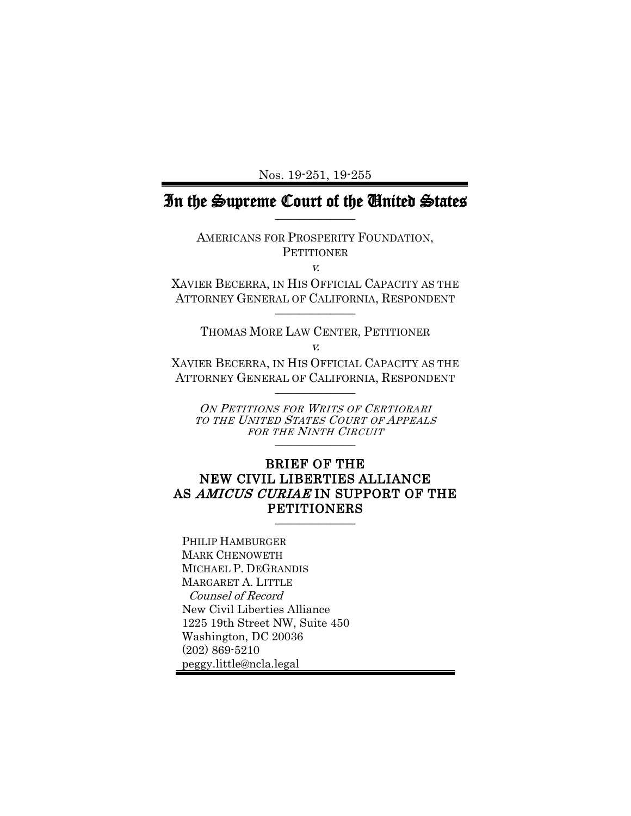Nos. 19-251, 19-255

# In the Supreme Court of the United States

AMERICANS FOR PROSPERITY FOUNDATION, **PETITIONER** 

v.

XAVIER BECERRA, IN HIS OFFICIAL CAPACITY AS THE ATTORNEY GENERAL OF CALIFORNIA, RESPONDENT  $\frac{1}{2}$ 

THOMAS MORE LAW CENTER, PETITIONER v.

XAVIER BECERRA, IN HIS OFFICIAL CAPACITY AS THE ATTORNEY GENERAL OF CALIFORNIA, RESPONDENT  $\frac{1}{2}$ 

ON PETITIONS FOR WRITS OF CERTIORARI TO THE UNITED STATES COURT OF APPEALS FOR THE NINTH CIRCUIT \_\_\_\_\_\_\_\_\_\_\_\_\_

### BRIEF OF THE NEW CIVIL LIBERTIES ALLIANCE AS AMICUS CURIAE IN SUPPORT OF THE PETITIONERS

PHILIP HAMBURGER MARK CHENOWETH MICHAEL P. DEGRANDIS MARGARET A. LITTLE Counsel of Record New Civil Liberties Alliance 1225 19th Street NW, Suite 450 Washington, DC 20036 (202) 869-5210 peggy.little@ncla.legal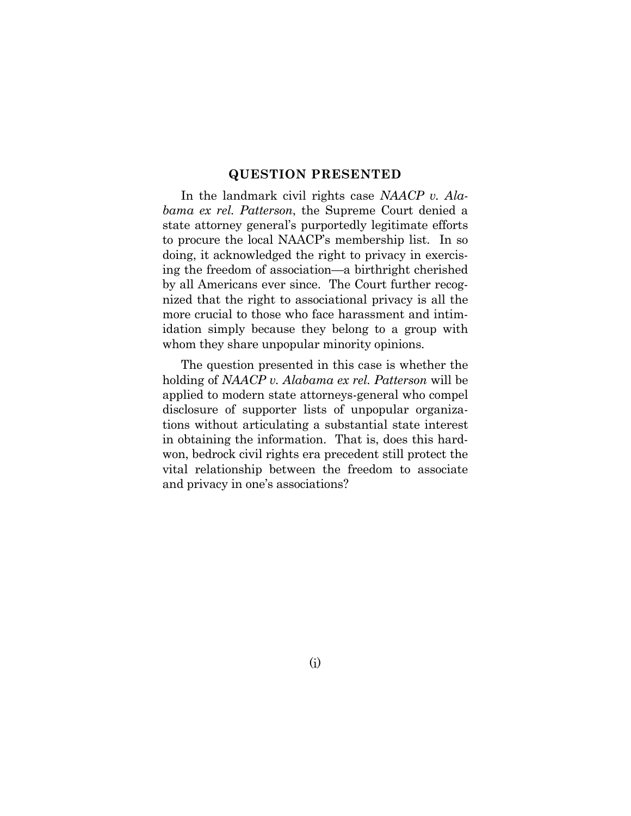#### **QUESTION PRESENTED**

<span id="page-1-0"></span>In the landmark civil rights case *NAACP v. Alabama ex rel. Patterson*, the Supreme Court denied a state attorney general's purportedly legitimate efforts to procure the local NAACP's membership list. In so doing, it acknowledged the right to privacy in exercising the freedom of association—a birthright cherished by all Americans ever since. The Court further recognized that the right to associational privacy is all the more crucial to those who face harassment and intimidation simply because they belong to a group with whom they share unpopular minority opinions.

The question presented in this case is whether the holding of *NAACP v. Alabama ex rel. Patterson* will be applied to modern state attorneys-general who compel disclosure of supporter lists of unpopular organizations without articulating a substantial state interest in obtaining the information. That is, does this hardwon, bedrock civil rights era precedent still protect the vital relationship between the freedom to associate and privacy in one's associations?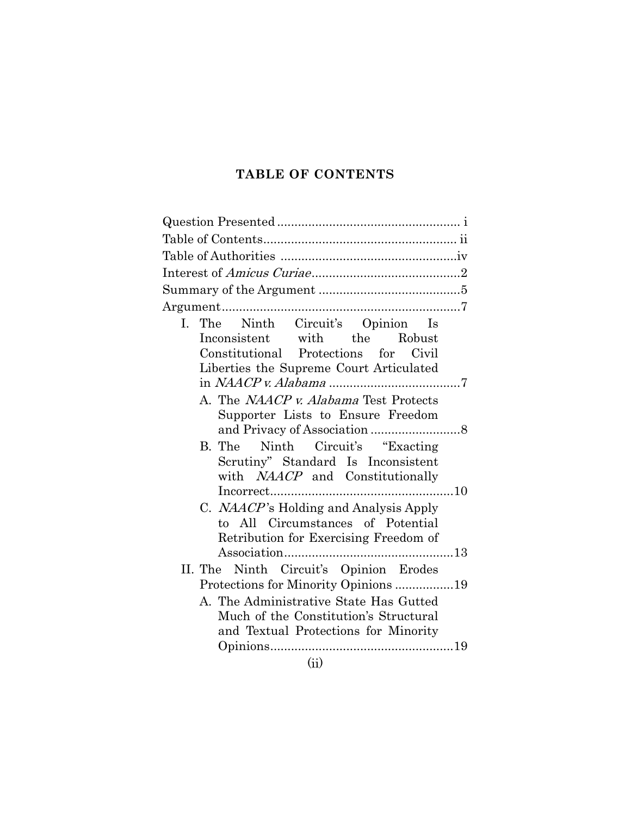# **TABLE OF CONTENTS**

<span id="page-2-0"></span>

| I. The Ninth Circuit's Opinion Is                                                                                                                                                                                                                                                                                 |  |
|-------------------------------------------------------------------------------------------------------------------------------------------------------------------------------------------------------------------------------------------------------------------------------------------------------------------|--|
| Inconsistent with the Robust                                                                                                                                                                                                                                                                                      |  |
| Constitutional Protections for Civil                                                                                                                                                                                                                                                                              |  |
| Liberties the Supreme Court Articulated                                                                                                                                                                                                                                                                           |  |
|                                                                                                                                                                                                                                                                                                                   |  |
| A. The NAACP v. Alabama Test Protects                                                                                                                                                                                                                                                                             |  |
| Supporter Lists to Ensure Freedom                                                                                                                                                                                                                                                                                 |  |
|                                                                                                                                                                                                                                                                                                                   |  |
| B. The Ninth Circuit's "Exacting                                                                                                                                                                                                                                                                                  |  |
| Scrutiny" Standard Is Inconsistent                                                                                                                                                                                                                                                                                |  |
| with <i>NAACP</i> and Constitutionally                                                                                                                                                                                                                                                                            |  |
|                                                                                                                                                                                                                                                                                                                   |  |
| C. <i>NAACP</i> 's Holding and Analysis Apply<br>to All Circumstances of Potential                                                                                                                                                                                                                                |  |
| Retribution for Exercising Freedom of                                                                                                                                                                                                                                                                             |  |
|                                                                                                                                                                                                                                                                                                                   |  |
| II. The Ninth Circuit's Opinion Erodes                                                                                                                                                                                                                                                                            |  |
| Protections for Minority Opinions 19                                                                                                                                                                                                                                                                              |  |
| A. The Administrative State Has Gutted                                                                                                                                                                                                                                                                            |  |
| Much of the Constitution's Structural                                                                                                                                                                                                                                                                             |  |
| and Textual Protections for Minority                                                                                                                                                                                                                                                                              |  |
|                                                                                                                                                                                                                                                                                                                   |  |
| $\mathcal{L}$ and $\mathcal{L}$ and $\mathcal{L}$ and $\mathcal{L}$ and $\mathcal{L}$ and $\mathcal{L}$ and $\mathcal{L}$ and $\mathcal{L}$ and $\mathcal{L}$ and $\mathcal{L}$ and $\mathcal{L}$ and $\mathcal{L}$ and $\mathcal{L}$ and $\mathcal{L}$ and $\mathcal{L}$ and $\mathcal{L}$ and $\mathcal{L}$ and |  |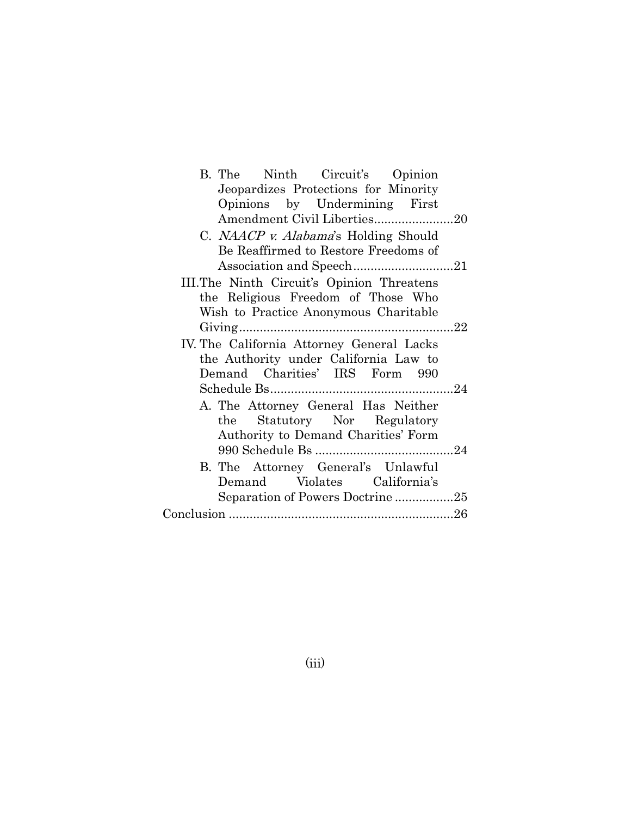| B. The Ninth Circuit's Opinion             |  |
|--------------------------------------------|--|
| Jeopardizes Protections for Minority       |  |
| Opinions by Undermining First              |  |
| Amendment Civil Liberties20                |  |
| C. NAACP v. Alabama's Holding Should       |  |
| Be Reaffirmed to Restore Freedoms of       |  |
|                                            |  |
| III. The Ninth Circuit's Opinion Threatens |  |
| the Religious Freedom of Those Who         |  |
| Wish to Practice Anonymous Charitable      |  |
|                                            |  |
| IV. The California Attorney General Lacks  |  |
| the Authority under California Law to      |  |
| Demand Charities' IRS Form 990             |  |
|                                            |  |
| A. The Attorney General Has Neither        |  |
| the Statutory Nor Regulatory               |  |
| Authority to Demand Charities' Form        |  |
|                                            |  |
| B. The Attorney General's Unlawful         |  |
| Demand Violates California's               |  |
| Separation of Powers Doctrine25            |  |
|                                            |  |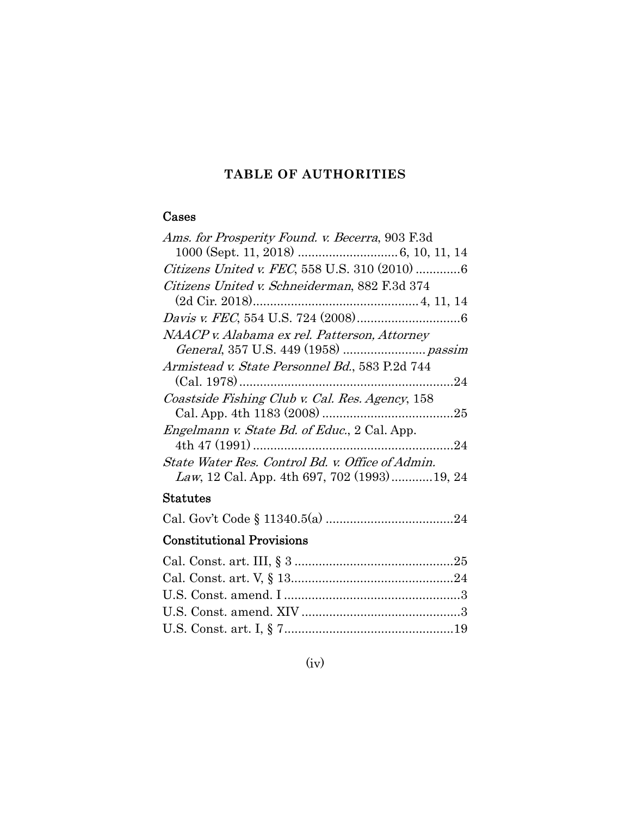## **TABLE OF AUTHORITIES**

### <span id="page-4-0"></span>Cases

| Ams. for Prosperity Found. v. Becerra, 903 F.3d      |
|------------------------------------------------------|
|                                                      |
| Citizens United v. FEC, 558 U.S. 310 (2010) 6        |
| Citizens United v. Schneiderman, 882 F.3d 374        |
|                                                      |
|                                                      |
| NAACP v. Alabama ex rel. Patterson, Attorney         |
|                                                      |
| Armistead v. State Personnel Bd., 583 P.2d 744       |
|                                                      |
| Coastside Fishing Club v. Cal. Res. Agency, 158      |
|                                                      |
| <i>Engelmann v. State Bd. of Educ.</i> , 2 Cal. App. |
|                                                      |
| State Water Res. Control Bd. v. Office of Admin.     |
| <i>Law</i> , 12 Cal. App. 4th 697, 702 (1993)19, 24  |
|                                                      |

## Statutes

Cal. Gov't Code § 11340.5(a) ..................................... 24

# Constitutional Provisions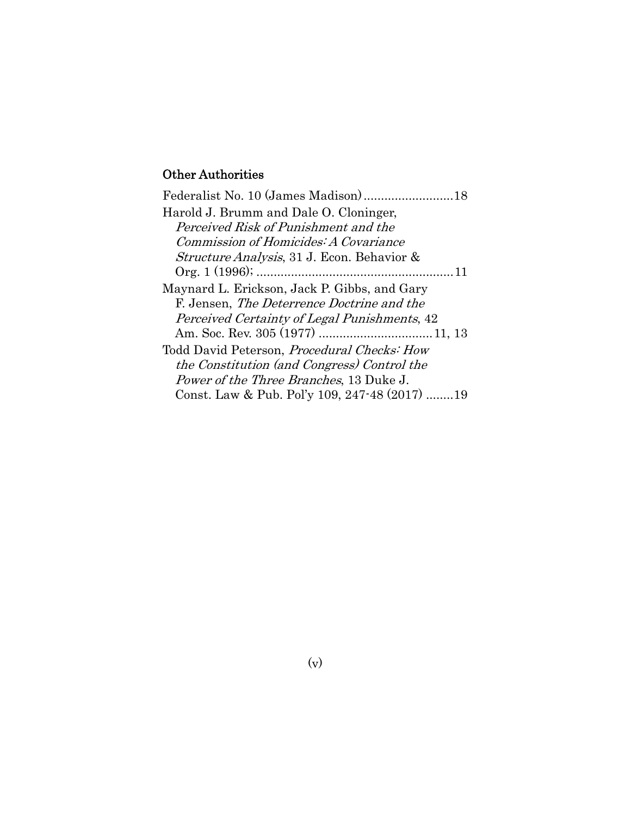# Other Authorities

| Harold J. Brumm and Dale O. Cloninger,             |  |
|----------------------------------------------------|--|
| Perceived Risk of Punishment and the               |  |
| Commission of Homicides: A Covariance              |  |
| Structure Analysis, 31 J. Econ. Behavior &         |  |
|                                                    |  |
| Maynard L. Erickson, Jack P. Gibbs, and Gary       |  |
| F. Jensen, <i>The Deterrence Doctrine and the</i>  |  |
| Perceived Certainty of Legal Punishments, 42       |  |
|                                                    |  |
| Todd David Peterson, <i>Procedural Checks: How</i> |  |
| the Constitution (and Congress) Control the        |  |
| Power of the Three Branches, 13 Duke J.            |  |
| Const. Law & Pub. Pol'y 109, 247-48 (2017) 19      |  |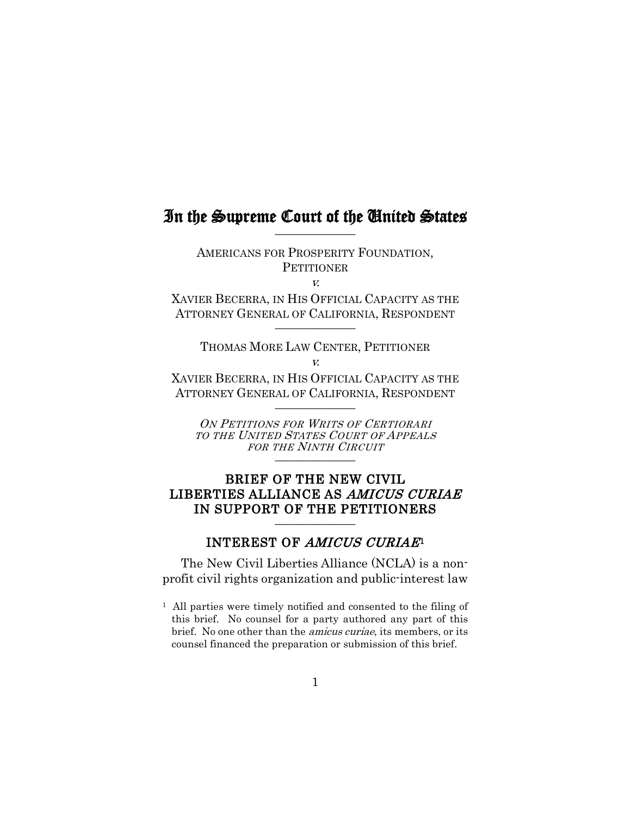## In the Supreme Court of the United States

AMERICANS FOR PROSPERITY FOUNDATION, **PETITIONER** 

v.

XAVIER BECERRA, IN HIS OFFICIAL CAPACITY AS THE ATTORNEY GENERAL OF CALIFORNIA, RESPONDENT  $\frac{1}{2}$ 

THOMAS MORE LAW CENTER, PETITIONER  $\overline{V}$ 

XAVIER BECERRA, IN HIS OFFICIAL CAPACITY AS THE ATTORNEY GENERAL OF CALIFORNIA, RESPONDENT  $\frac{1}{2}$ 

ON PETITIONS FOR WRITS OF CERTIORARI TO THE UNITED STATES COURT OF APPEALS FOR THE NINTH CIRCUIT \_\_\_\_\_\_\_\_\_\_\_\_\_

### BRIEF OF THE NEW CIVIL LIBERTIES ALLIANCE AS AMICUS CURIAE IN SUPPORT OF THE PETITIONERS

### INTEREST OF AMICUS CURIAE<sup>1</sup>

<span id="page-6-0"></span>The New Civil Liberties Alliance (NCLA) is a nonprofit civil rights organization and public-interest law

<span id="page-6-1"></span>1 All parties were timely notified and consented to the filing of this brief. No counsel for a party authored any part of this brief. No one other than the amicus curiae, its members, or its counsel financed the preparation or submission of this brief.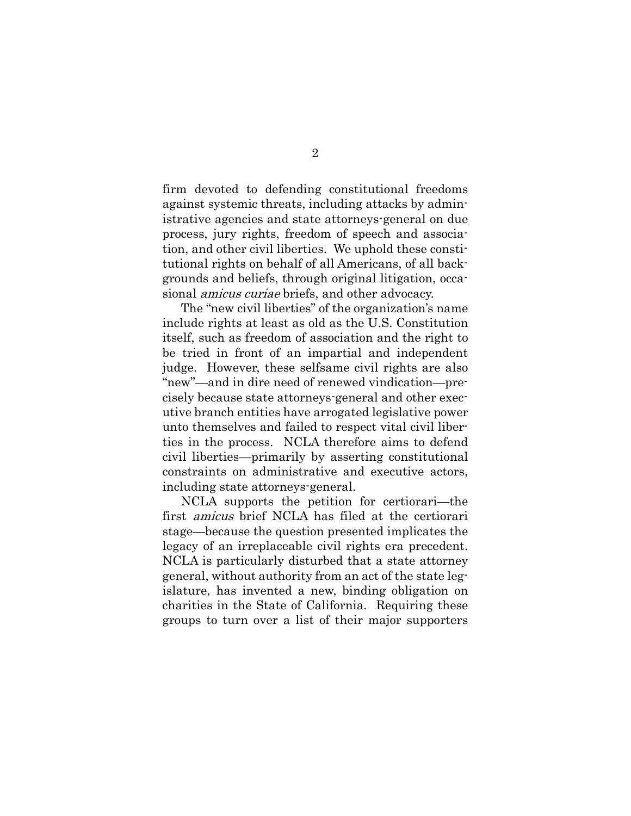firm devoted to defending constitutional freedoms against systemic threats, including attacks by administrative agencies and state attorneys-general on due process, jury rights, freedom of speech and association, and other civil liberties. We uphold these constitutional rights on behalf of all Americans, of all backgrounds and beliefs, through original litigation, occasional amicus curiae briefs, and other advocacy.

The "new civil liberties" of the organization's name include rights at least as old as the U.S. Constitution itself, such as freedom of association and the right to be tried in front of an impartial and independent judge. However, these selfsame civil rights are also "new"—and in dire need of renewed vindication—precisely because state attorneys-general and other executive branch entities have arrogated legislative power unto themselves and failed to respect vital civil liberties in the process. NCLA therefore aims to defend civil liberties—primarily by asserting constitutional constraints on administrative and executive actors, including state attorneys-general.

NCLA supports the petition for certiorari—the first amicus brief NCLA has filed at the certiorari stage—because the question presented implicates the legacy of an irreplaceable civil rights era precedent. NCLA is particularly disturbed that a state attorney general, without authority from an act of the state legislature, has invented a new, binding obligation on charities in the State of California. Requiring these groups to turn over a list of their major supporters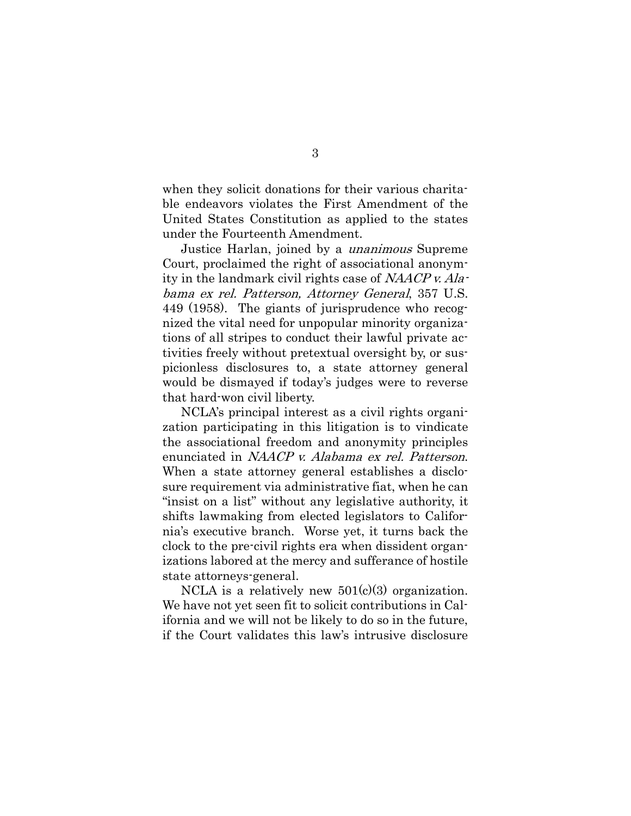when they solicit donations for their various charitable endeavors violates the First Amendment of the United States Constitution as applied to the states under the Fourteenth Amendment.

Justice Harlan, joined by a unanimous Supreme Court, proclaimed the right of associational anonymity in the landmark civil rights case of NAACP v. Alabama ex rel. Patterson, Attorney General, 357 U.S. 449 (1958). The giants of jurisprudence who recognized the vital need for unpopular minority organizations of all stripes to conduct their lawful private activities freely without pretextual oversight by, or suspicionless disclosures to, a state attorney general would be dismayed if today's judges were to reverse that hard-won civil liberty.

NCLA's principal interest as a civil rights organization participating in this litigation is to vindicate the associational freedom and anonymity principles enunciated in *NAACP v. Alabama ex rel. Patterson.* When a state attorney general establishes a disclosure requirement via administrative fiat, when he can "insist on a list" without any legislative authority, it shifts lawmaking from elected legislators to California's executive branch. Worse yet, it turns back the clock to the pre-civil rights era when dissident organizations labored at the mercy and sufferance of hostile state attorneys-general.

NCLA is a relatively new  $501(c)(3)$  organization. We have not yet seen fit to solicit contributions in California and we will not be likely to do so in the future, if the Court validates this law's intrusive disclosure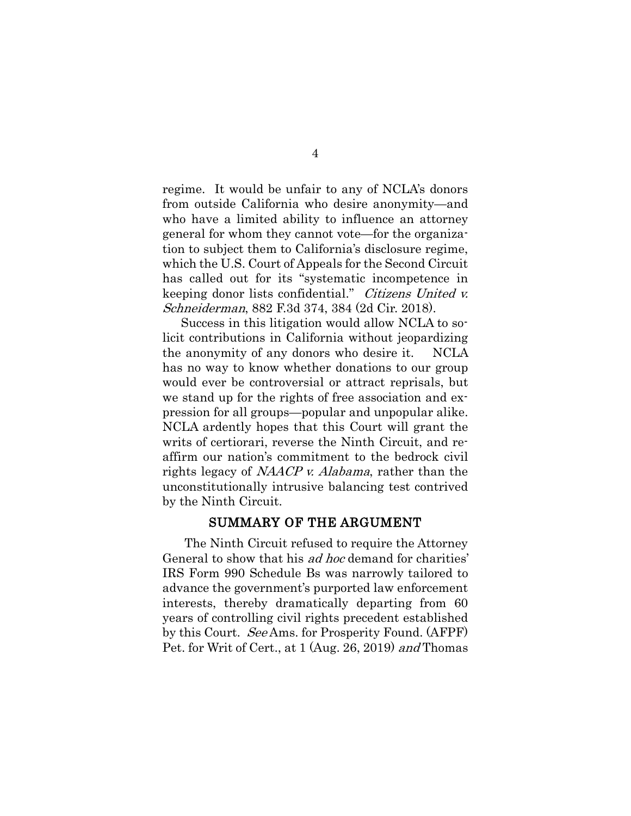regime. It would be unfair to any of NCLA's donors from outside California who desire anonymity—and who have a limited ability to influence an attorney general for whom they cannot vote—for the organization to subject them to California's disclosure regime, which the U.S. Court of Appeals for the Second Circuit has called out for its "systematic incompetence in keeping donor lists confidential." Citizens United v. Schneiderman, 882 F.3d 374, 384 (2d Cir. 2018).

Success in this litigation would allow NCLA to solicit contributions in California without jeopardizing the anonymity of any donors who desire it. NCLA has no way to know whether donations to our group would ever be controversial or attract reprisals, but we stand up for the rights of free association and expression for all groups—popular and unpopular alike. NCLA ardently hopes that this Court will grant the writs of certiorari, reverse the Ninth Circuit, and reaffirm our nation's commitment to the bedrock civil rights legacy of NAACP v. Alabama, rather than the unconstitutionally intrusive balancing test contrived by the Ninth Circuit.

#### SUMMARY OF THE ARGUMENT

<span id="page-9-0"></span>The Ninth Circuit refused to require the Attorney General to show that his ad hoc demand for charities' IRS Form 990 Schedule Bs was narrowly tailored to advance the government's purported law enforcement interests, thereby dramatically departing from 60 years of controlling civil rights precedent established by this Court. See Ams. for Prosperity Found. (AFPF) Pet. for Writ of Cert., at 1 (Aug. 26, 2019) and Thomas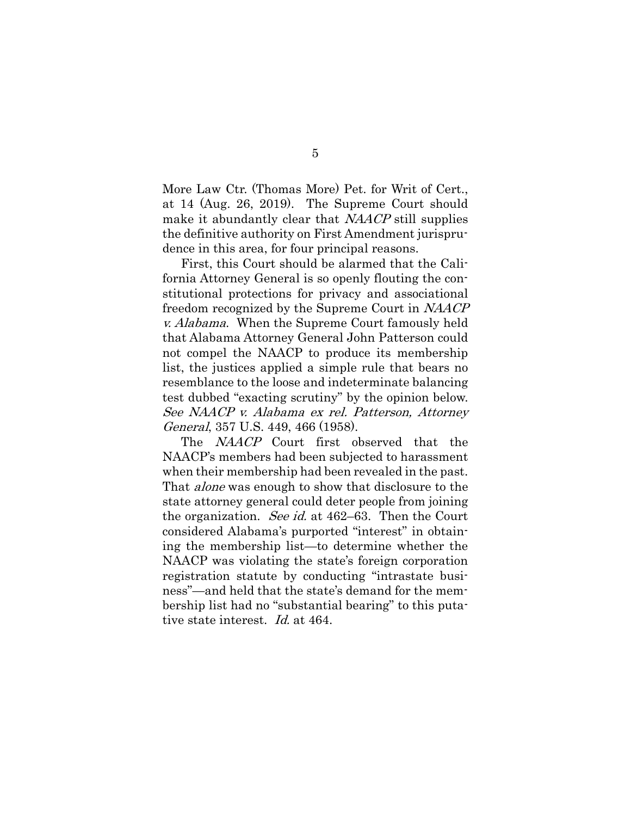More Law Ctr. (Thomas More) Pet. for Writ of Cert., at 14 (Aug. 26, 2019). The Supreme Court should make it abundantly clear that NAACP still supplies the definitive authority on First Amendment jurisprudence in this area, for four principal reasons.

First, this Court should be alarmed that the California Attorney General is so openly flouting the constitutional protections for privacy and associational freedom recognized by the Supreme Court in NAACP v. Alabama. When the Supreme Court famously held that Alabama Attorney General John Patterson could not compel the NAACP to produce its membership list, the justices applied a simple rule that bears no resemblance to the loose and indeterminate balancing test dubbed "exacting scrutiny" by the opinion below. See NAACP v. Alabama ex rel. Patterson, Attorney General, 357 U.S. 449, 466 (1958).

The *NAACP* Court first observed that the NAACP's members had been subjected to harassment when their membership had been revealed in the past. That *alone* was enough to show that disclosure to the state attorney general could deter people from joining the organization. See id. at 462–63. Then the Court considered Alabama's purported "interest" in obtaining the membership list—to determine whether the NAACP was violating the state's foreign corporation registration statute by conducting "intrastate business"—and held that the state's demand for the membership list had no "substantial bearing" to this putative state interest. Id. at 464.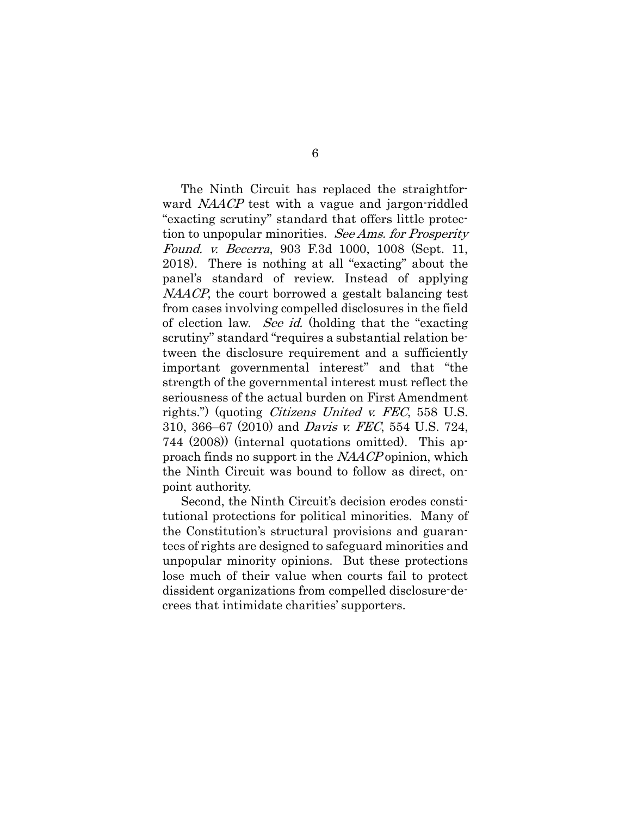The Ninth Circuit has replaced the straightforward *NAACP* test with a vague and jargon-riddled "exacting scrutiny" standard that offers little protection to unpopular minorities. See Ams. for Prosperity Found. v. Becerra, 903 F.3d 1000, 1008 (Sept. 11, 2018). There is nothing at all "exacting" about the panel's standard of review. Instead of applying NAACP, the court borrowed a gestalt balancing test from cases involving compelled disclosures in the field of election law. See id. (holding that the "exacting scrutiny" standard "requires a substantial relation between the disclosure requirement and a sufficiently important governmental interest" and that "the strength of the governmental interest must reflect the seriousness of the actual burden on First Amendment rights.") (quoting *Citizens United v. FEC*, 558 U.S. 310, 366–67 (2010) and Davis v. FEC, 554 U.S. 724, 744 (2008)) (internal quotations omitted). This approach finds no support in the NAACP opinion, which the Ninth Circuit was bound to follow as direct, onpoint authority.

Second, the Ninth Circuit's decision erodes constitutional protections for political minorities. Many of the Constitution's structural provisions and guarantees of rights are designed to safeguard minorities and unpopular minority opinions. But these protections lose much of their value when courts fail to protect dissident organizations from compelled disclosure-decrees that intimidate charities' supporters.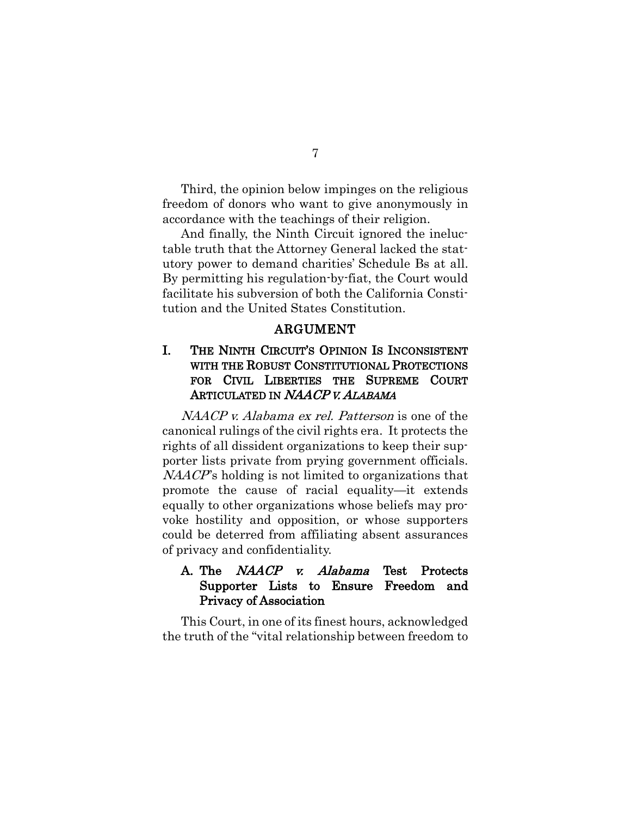Third, the opinion below impinges on the religious freedom of donors who want to give anonymously in accordance with the teachings of their religion.

And finally, the Ninth Circuit ignored the ineluctable truth that the Attorney General lacked the statutory power to demand charities' Schedule Bs at all. By permitting his regulation-by-fiat, the Court would facilitate his subversion of both the California Constitution and the United States Constitution.

#### ARGUMENT

### <span id="page-12-1"></span><span id="page-12-0"></span>I. THE NINTH CIRCUIT'S OPINION IS INCONSISTENT WITH THE ROBUST CONSTITUTIONAL PROTECTIONS FOR CIVIL LIBERTIES THE SUPREME COURT ARTICULATED IN NAACP V. ALABAMA

NAACP v. Alabama ex rel. Patterson is one of the canonical rulings of the civil rights era. It protects the rights of all dissident organizations to keep their supporter lists private from prying government officials.  $NAACP$ 's holding is not limited to organizations that promote the cause of racial equality—it extends equally to other organizations whose beliefs may provoke hostility and opposition, or whose supporters could be deterred from affiliating absent assurances of privacy and confidentiality.

### <span id="page-12-2"></span>A. The *NAACP v. Alabama* Test Protects Supporter Lists to Ensure Freedom and Privacy of Association

This Court, in one of its finest hours, acknowledged the truth of the "vital relationship between freedom to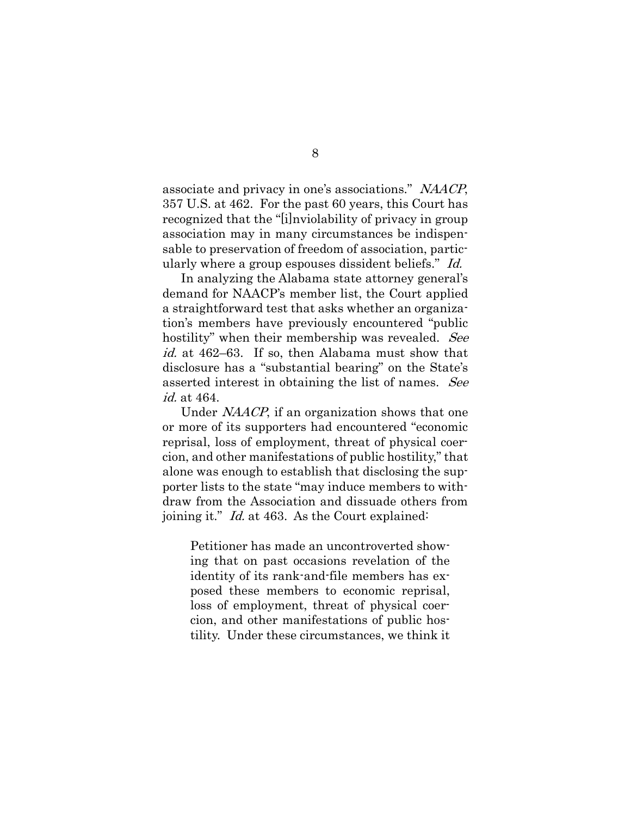associate and privacy in one's associations." NAACP, 357 U.S. at 462. For the past 60 years, this Court has recognized that the "[i]nviolability of privacy in group association may in many circumstances be indispensable to preservation of freedom of association, particularly where a group espouses dissident beliefs." Id.

In analyzing the Alabama state attorney general's demand for NAACP's member list, the Court applied a straightforward test that asks whether an organization's members have previously encountered "public hostility" when their membership was revealed. See id. at 462–63. If so, then Alabama must show that disclosure has a "substantial bearing" on the State's asserted interest in obtaining the list of names. See id. at 464.

Under NAACP, if an organization shows that one or more of its supporters had encountered "economic reprisal, loss of employment, threat of physical coercion, and other manifestations of public hostility," that alone was enough to establish that disclosing the supporter lists to the state "may induce members to withdraw from the Association and dissuade others from joining it." Id. at 463. As the Court explained:

Petitioner has made an uncontroverted showing that on past occasions revelation of the identity of its rank-and-file members has exposed these members to economic reprisal, loss of employment, threat of physical coercion, and other manifestations of public hostility. Under these circumstances, we think it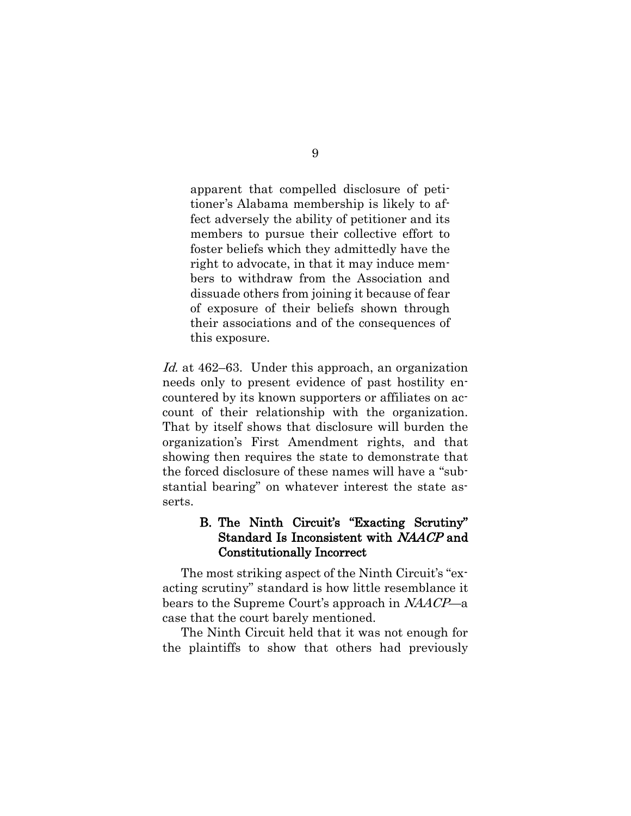apparent that compelled disclosure of petitioner's Alabama membership is likely to affect adversely the ability of petitioner and its members to pursue their collective effort to foster beliefs which they admittedly have the right to advocate, in that it may induce members to withdraw from the Association and dissuade others from joining it because of fear of exposure of their beliefs shown through their associations and of the consequences of this exposure.

Id. at 462–63. Under this approach, an organization needs only to present evidence of past hostility encountered by its known supporters or affiliates on account of their relationship with the organization. That by itself shows that disclosure will burden the organization's First Amendment rights, and that showing then requires the state to demonstrate that the forced disclosure of these names will have a "substantial bearing" on whatever interest the state asserts.

### <span id="page-14-0"></span>B. The Ninth Circuit's "Exacting Scrutiny" Standard Is Inconsistent with NAACP and Constitutionally Incorrect

The most striking aspect of the Ninth Circuit's "exacting scrutiny" standard is how little resemblance it bears to the Supreme Court's approach in NAACP—a case that the court barely mentioned.

The Ninth Circuit held that it was not enough for the plaintiffs to show that others had previously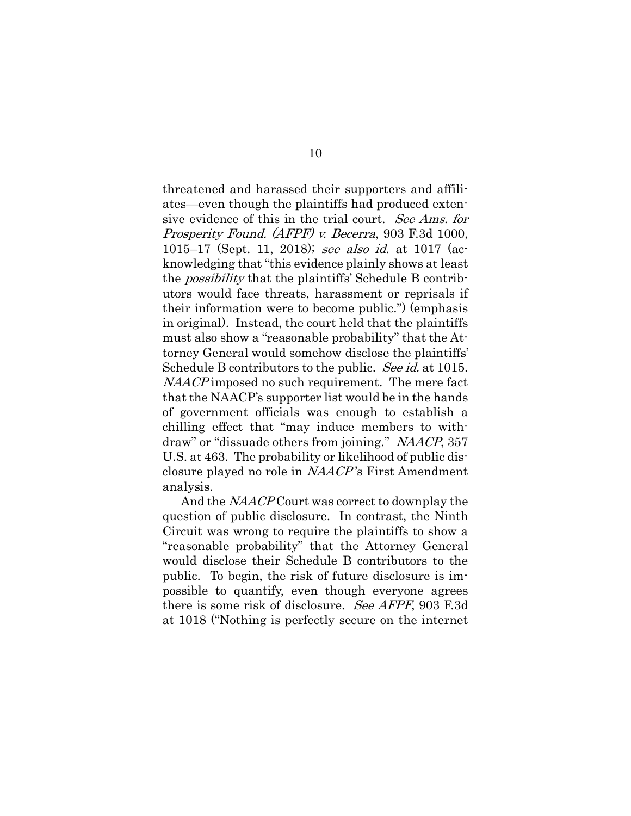threatened and harassed their supporters and affiliates—even though the plaintiffs had produced extensive evidence of this in the trial court. See Ams. for Prosperity Found. (AFPF) v. Becerra, 903 F.3d 1000, 1015–17 (Sept. 11, 2018); see also id. at 1017 (acknowledging that "this evidence plainly shows at least the possibility that the plaintiffs' Schedule B contributors would face threats, harassment or reprisals if their information were to become public.") (emphasis in original). Instead, the court held that the plaintiffs must also show a "reasonable probability" that the Attorney General would somehow disclose the plaintiffs' Schedule B contributors to the public. See id. at 1015. NAACP imposed no such requirement. The mere fact that the NAACP's supporter list would be in the hands of government officials was enough to establish a chilling effect that "may induce members to withdraw" or "dissuade others from joining." NAACP, 357 U.S. at 463. The probability or likelihood of public disclosure played no role in NAACP 's First Amendment analysis.

And the *NAACP* Court was correct to downplay the question of public disclosure. In contrast, the Ninth Circuit was wrong to require the plaintiffs to show a "reasonable probability" that the Attorney General would disclose their Schedule B contributors to the public. To begin, the risk of future disclosure is impossible to quantify, even though everyone agrees there is some risk of disclosure. See AFPF, 903 F.3d at 1018 ("Nothing is perfectly secure on the internet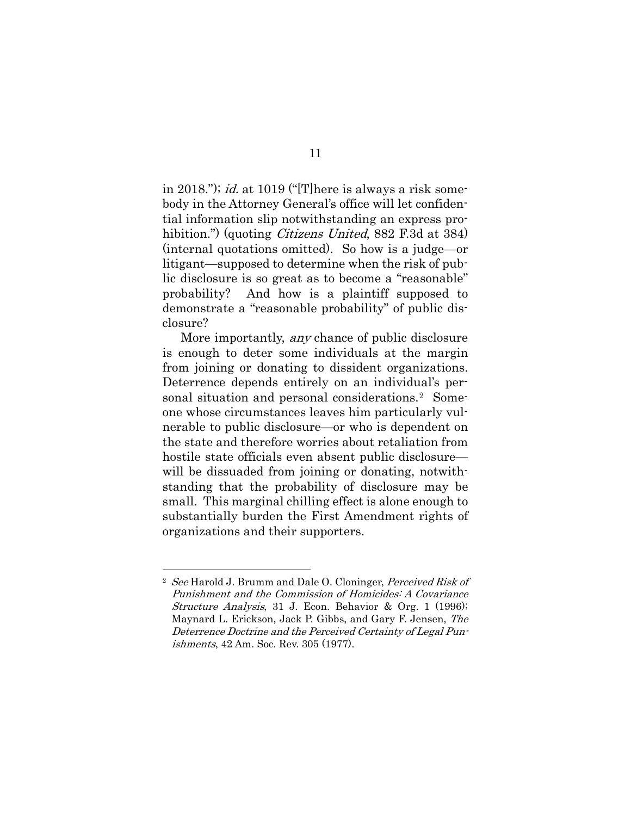in 2018."); *id.* at 1019 ("There is always a risk somebody in the Attorney General's office will let confidential information slip notwithstanding an express prohibition.") (quoting *Citizens United*, 882 F.3d at 384) (internal quotations omitted). So how is a judge—or litigant—supposed to determine when the risk of public disclosure is so great as to become a "reasonable" probability? And how is a plaintiff supposed to demonstrate a "reasonable probability" of public disclosure?

More importantly, *any* chance of public disclosure is enough to deter some individuals at the margin from joining or donating to dissident organizations. Deterrence depends entirely on an individual's personal situation and personal considerations.[2](#page-16-0) Someone whose circumstances leaves him particularly vulnerable to public disclosure—or who is dependent on the state and therefore worries about retaliation from hostile state officials even absent public disclosure will be dissuaded from joining or donating, notwithstanding that the probability of disclosure may be small. This marginal chilling effect is alone enough to substantially burden the First Amendment rights of organizations and their supporters.

<span id="page-16-0"></span><sup>&</sup>lt;sup>2</sup> See Harold J. Brumm and Dale O. Cloninger, Perceived Risk of Punishment and the Commission of Homicides: A Covariance Structure Analysis, 31 J. Econ. Behavior & Org. 1 (1996); Maynard L. Erickson, Jack P. Gibbs, and Gary F. Jensen, The Deterrence Doctrine and the Perceived Certainty of Legal Punishments, 42 Am. Soc. Rev. 305 (1977).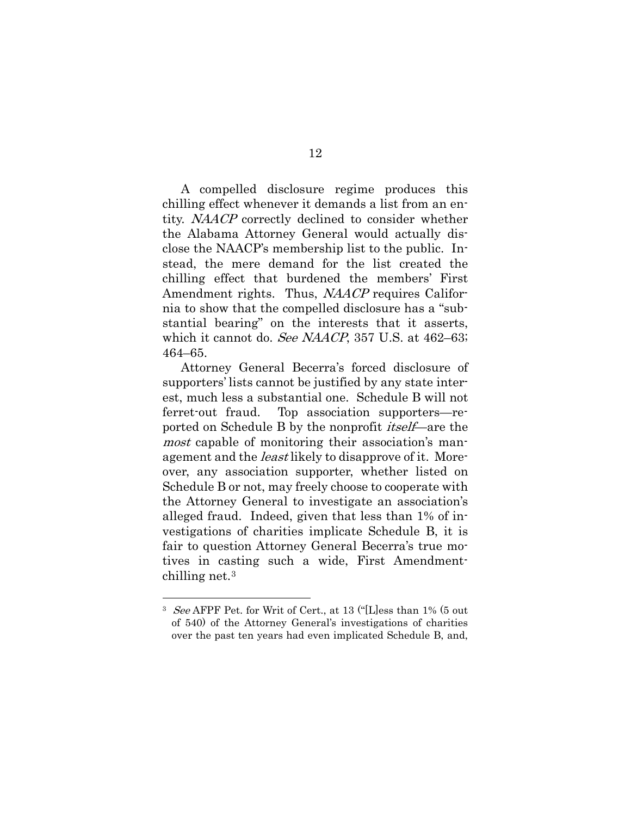A compelled disclosure regime produces this chilling effect whenever it demands a list from an entity. NAACP correctly declined to consider whether the Alabama Attorney General would actually disclose the NAACP's membership list to the public. Instead, the mere demand for the list created the chilling effect that burdened the members' First Amendment rights. Thus, NAACP requires California to show that the compelled disclosure has a "substantial bearing" on the interests that it asserts, which it cannot do. *See NAACP*, 357 U.S. at 462–63; 464–65.

Attorney General Becerra's forced disclosure of supporters' lists cannot be justified by any state interest, much less a substantial one. Schedule B will not ferret-out fraud. Top association supporters—reported on Schedule B by the nonprofit itself—are the most capable of monitoring their association's management and the *least* likely to disapprove of it. Moreover, any association supporter, whether listed on Schedule B or not, may freely choose to cooperate with the Attorney General to investigate an association's alleged fraud. Indeed, given that less than 1% of investigations of charities implicate Schedule B, it is fair to question Attorney General Becerra's true motives in casting such a wide, First Amendmentchilling net[.3](#page-17-0)

<span id="page-17-0"></span><sup>3</sup> See AFPF Pet. for Writ of Cert., at 13 ("[L]ess than 1% (5 out of 540) of the Attorney General's investigations of charities over the past ten years had even implicated Schedule B, and,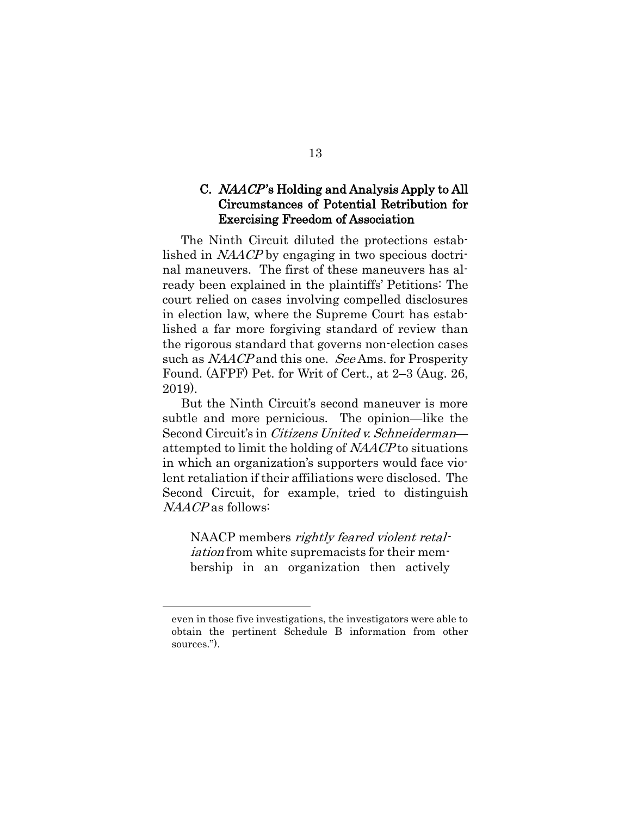### <span id="page-18-0"></span>C. NAACP 's Holding and Analysis Apply to All Circumstances of Potential Retribution for Exercising Freedom of Association

The Ninth Circuit diluted the protections established in NAACP by engaging in two specious doctrinal maneuvers. The first of these maneuvers has already been explained in the plaintiffs' Petitions: The court relied on cases involving compelled disclosures in election law, where the Supreme Court has established a far more forgiving standard of review than the rigorous standard that governs non-election cases such as NAACP and this one. See Ams. for Prosperity Found. (AFPF) Pet. for Writ of Cert., at 2–3 (Aug. 26, 2019).

But the Ninth Circuit's second maneuver is more subtle and more pernicious. The opinion—like the Second Circuit's in *Citizens United v. Schneiderman* attempted to limit the holding of NAACP to situations in which an organization's supporters would face violent retaliation if their affiliations were disclosed. The Second Circuit, for example, tried to distinguish NAACP as follows:

NAACP members rightly feared violent retaliation from white supremacists for their membership in an organization then actively

even in those five investigations, the investigators were able to obtain the pertinent Schedule B information from other sources.").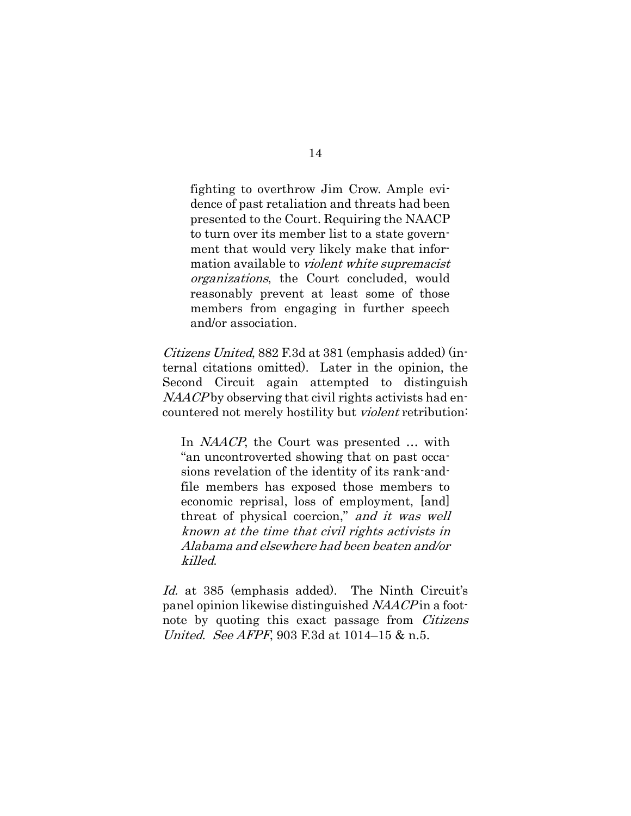fighting to overthrow Jim Crow. Ample evidence of past retaliation and threats had been presented to the Court. Requiring the NAACP to turn over its member list to a state government that would very likely make that information available to violent white supremacist organizations, the Court concluded, would reasonably prevent at least some of those members from engaging in further speech and/or association.

Citizens United, 882 F.3d at 381 (emphasis added) (internal citations omitted). Later in the opinion, the Second Circuit again attempted to distinguish NAACP by observing that civil rights activists had encountered not merely hostility but violent retribution:

In *NAACP*, the Court was presented ... with "an uncontroverted showing that on past occasions revelation of the identity of its rank-andfile members has exposed those members to economic reprisal, loss of employment, [and] threat of physical coercion," and it was well known at the time that civil rights activists in Alabama and elsewhere had been beaten and/or killed.

Id. at 385 (emphasis added). The Ninth Circuit's panel opinion likewise distinguished NAACP in a footnote by quoting this exact passage from *Citizens* United. See AFPF, 903 F.3d at 1014–15 & n.5.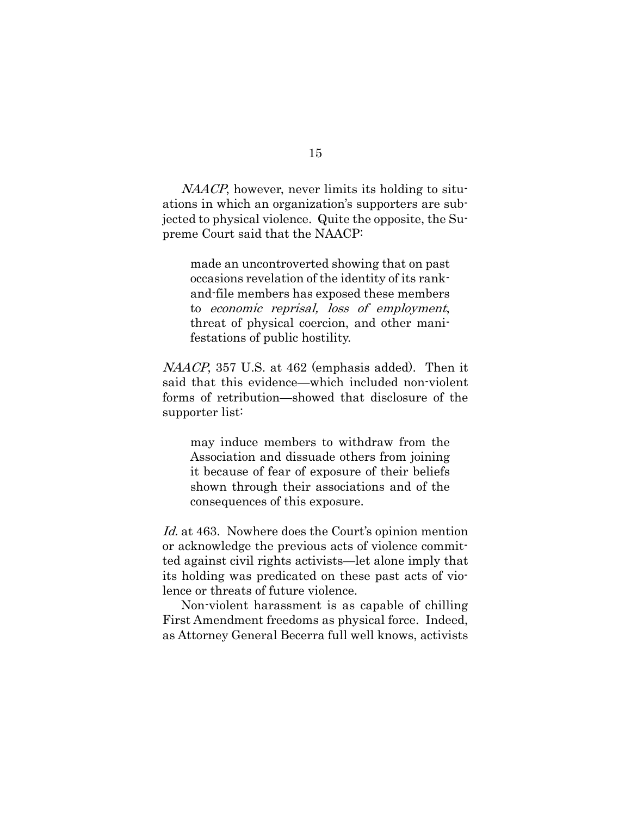NAACP, however, never limits its holding to situations in which an organization's supporters are subjected to physical violence. Quite the opposite, the Supreme Court said that the NAACP:

made an uncontroverted showing that on past occasions revelation of the identity of its rankand-file members has exposed these members to economic reprisal, loss of employment, threat of physical coercion, and other manifestations of public hostility.

NAACP, 357 U.S. at 462 (emphasis added). Then it said that this evidence—which included non-violent forms of retribution—showed that disclosure of the supporter list:

may induce members to withdraw from the Association and dissuade others from joining it because of fear of exposure of their beliefs shown through their associations and of the consequences of this exposure.

Id. at 463. Nowhere does the Court's opinion mention or acknowledge the previous acts of violence committed against civil rights activists—let alone imply that its holding was predicated on these past acts of violence or threats of future violence.

Non-violent harassment is as capable of chilling First Amendment freedoms as physical force. Indeed, as Attorney General Becerra full well knows, activists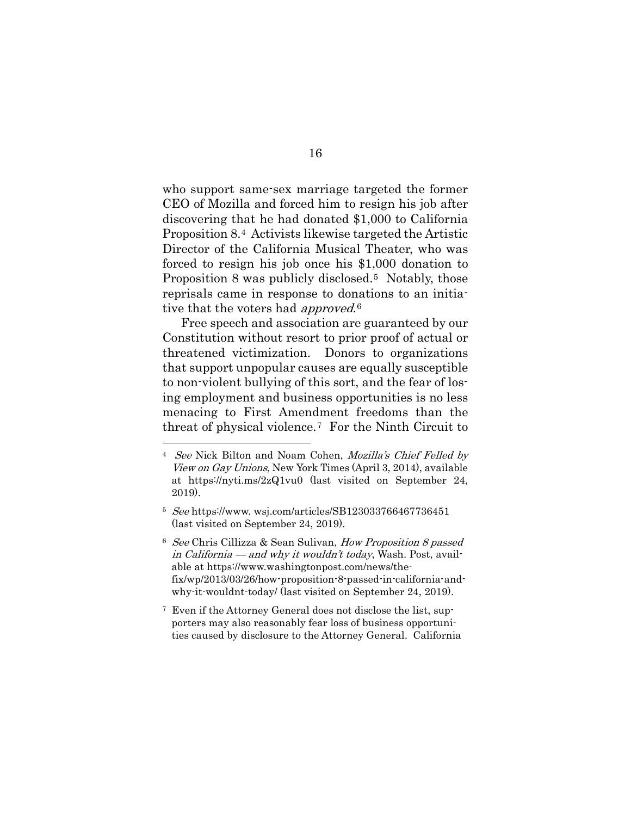who support same-sex marriage targeted the former CEO of Mozilla and forced him to resign his job after discovering that he had donated \$1,000 to California Proposition 8.[4](#page-21-0) Activists likewise targeted the Artistic Director of the California Musical Theater, who was forced to resign his job once his \$1,000 donation to Proposition 8 was publicly disclosed.<sup>5</sup> Notably, those reprisals came in response to donations to an initiative that the voters had *approved*.<sup>[6](#page-21-2)</sup>

Free speech and association are guaranteed by our Constitution without resort to prior proof of actual or threatened victimization. Donors to organizations that support unpopular causes are equally susceptible to non-violent bullying of this sort, and the fear of losing employment and business opportunities is no less menacing to First Amendment freedoms than the threat of physical violence.[7](#page-21-3) For the Ninth Circuit to

<span id="page-21-0"></span><sup>4</sup> See Nick Bilton and Noam Cohen, Mozilla's Chief Felled by View on Gay Unions, New York Times (April 3, 2014), available at https://nyti.ms/2zQ1vu0 (last visited on September 24, 2019).

<span id="page-21-1"></span><sup>5</sup> See https://www. wsj.com/articles/SB123033766467736451 (last visited on September 24, 2019).

<span id="page-21-2"></span><sup>&</sup>lt;sup>6</sup> See Chris Cillizza & Sean Sulivan, How Proposition 8 passed in California — and why it wouldn't today, Wash. Post, available at https://www.washingtonpost.com/news/thefix/wp/2013/03/26/how-proposition-8-passed-in-california-andwhy-it-wouldnt-today/ (last visited on September 24, 2019).

<span id="page-21-3"></span><sup>7</sup> Even if the Attorney General does not disclose the list, supporters may also reasonably fear loss of business opportunities caused by disclosure to the Attorney General. California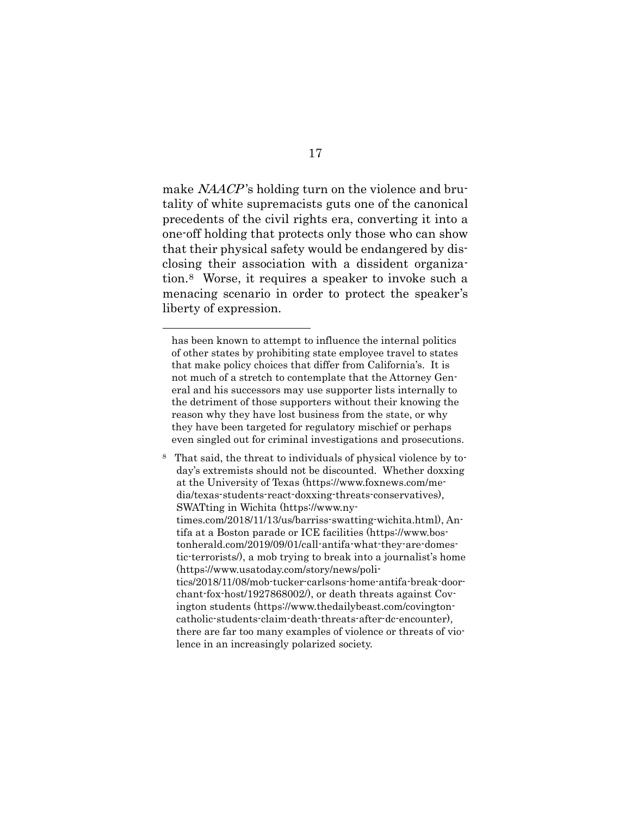make *NAACP*'s holding turn on the violence and brutality of white supremacists guts one of the canonical precedents of the civil rights era, converting it into a one-off holding that protects only those who can show that their physical safety would be endangered by disclosing their association with a dissident organization.[8](#page-22-0) Worse, it requires a speaker to invoke such a menacing scenario in order to protect the speaker's liberty of expression.

has been known to attempt to influence the internal politics of other states by prohibiting state employee travel to states that make policy choices that differ from California's. It is not much of a stretch to contemplate that the Attorney General and his successors may use supporter lists internally to the detriment of those supporters without their knowing the reason why they have lost business from the state, or why they have been targeted for regulatory mischief or perhaps even singled out for criminal investigations and prosecutions.

<span id="page-22-0"></span><sup>8</sup> That said, the threat to individuals of physical violence by today's extremists should not be discounted. Whether doxxing at the University of Texas (https://www.foxnews.com/media/texas-students-react-doxxing-threats-conservatives), SWATting in Wichita (https://www.nytimes.com/2018/11/13/us/barriss-swatting-wichita.html), Antifa at a Boston parade or ICE facilities (https://www.bostonherald.com/2019/09/01/call-antifa-what-they-are-domestic-terrorists/), a mob trying to break into a journalist's home (https://www.usatoday.com/story/news/politics/2018/11/08/mob-tucker-carlsons-home-antifa-break-doorchant-fox-host/1927868002/), or death threats against Covington students (https://www.thedailybeast.com/covingtoncatholic-students-claim-death-threats-after-dc-encounter), there are far too many examples of violence or threats of violence in an increasingly polarized society.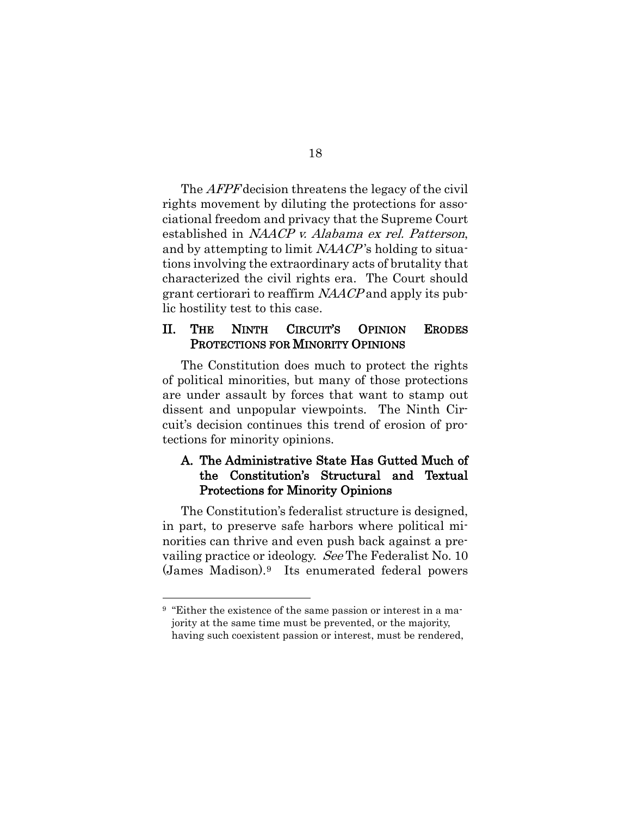The *AFPF* decision threatens the legacy of the civil rights movement by diluting the protections for associational freedom and privacy that the Supreme Court established in NAACP v. Alabama ex rel. Patterson, and by attempting to limit NAACP 's holding to situations involving the extraordinary acts of brutality that characterized the civil rights era. The Court should grant certiorari to reaffirm NAACP and apply its public hostility test to this case.

#### <span id="page-23-0"></span>II. THE NINTH CIRCUIT'S OPINION ERODES PROTECTIONS FOR MINORITY OPINIONS

The Constitution does much to protect the rights of political minorities, but many of those protections are under assault by forces that want to stamp out dissent and unpopular viewpoints. The Ninth Circuit's decision continues this trend of erosion of protections for minority opinions.

### <span id="page-23-1"></span>A. The Administrative State Has Gutted Much of the Constitution's Structural and Textual Protections for Minority Opinions

The Constitution's federalist structure is designed, in part, to preserve safe harbors where political minorities can thrive and even push back against a prevailing practice or ideology. See The Federalist No. 10 (James Madison).[9](#page-23-2) Its enumerated federal powers

<span id="page-23-2"></span><sup>&</sup>lt;sup>9</sup> "Either the existence of the same passion or interest in a majority at the same time must be prevented, or the majority, having such coexistent passion or interest, must be rendered,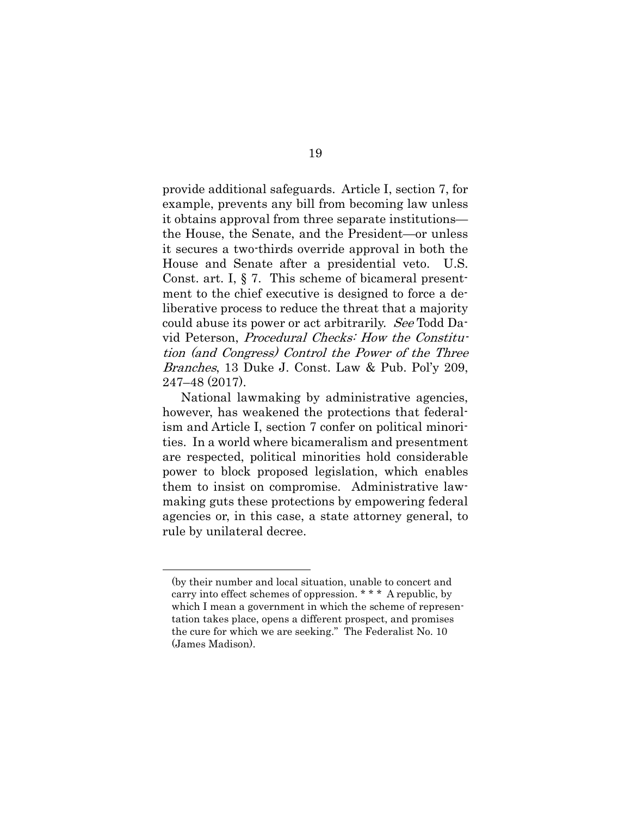provide additional safeguards. Article I, section 7, for example, prevents any bill from becoming law unless it obtains approval from three separate institutions the House, the Senate, and the President—or unless it secures a two-thirds override approval in both the House and Senate after a presidential veto. U.S. Const. art. I, § 7. This scheme of bicameral presentment to the chief executive is designed to force a deliberative process to reduce the threat that a majority could abuse its power or act arbitrarily. See Todd David Peterson, Procedural Checks: How the Constitution (and Congress) Control the Power of the Three Branches, 13 Duke J. Const. Law & Pub. Pol'y 209, 247–48 (2017).

National lawmaking by administrative agencies, however, has weakened the protections that federalism and Article I, section 7 confer on political minorities. In a world where bicameralism and presentment are respected, political minorities hold considerable power to block proposed legislation, which enables them to insist on compromise. Administrative lawmaking guts these protections by empowering federal agencies or, in this case, a state attorney general, to rule by unilateral decree.

<sup>(</sup>by their number and local situation, unable to concert and carry into effect schemes of oppression. \* \* \* A republic, by which I mean a government in which the scheme of representation takes place, opens a different prospect, and promises the cure for which we are seeking." The Federalist No. 10 (James Madison).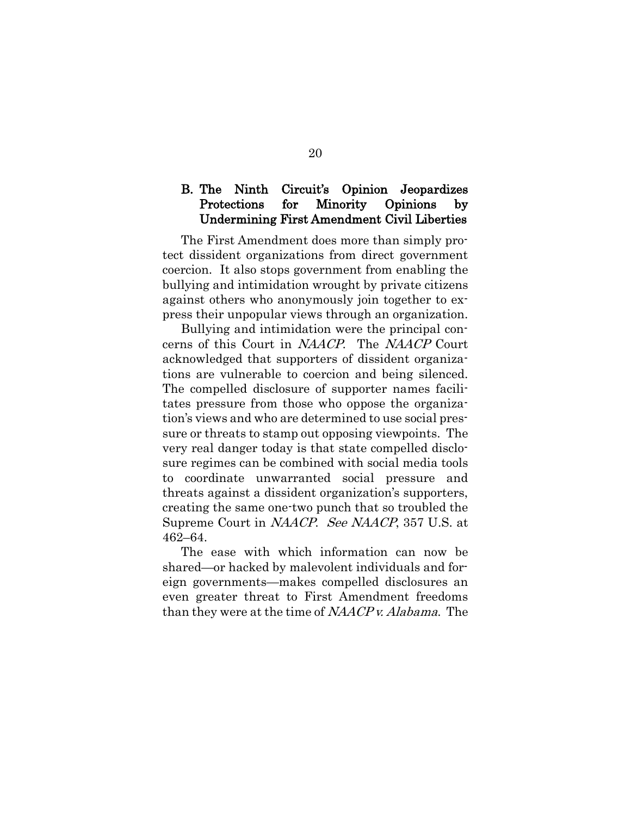#### <span id="page-25-0"></span>B. The Ninth Circuit's Opinion Jeopardizes Protections for Minority Opinions by Undermining First Amendment Civil Liberties

The First Amendment does more than simply protect dissident organizations from direct government coercion. It also stops government from enabling the bullying and intimidation wrought by private citizens against others who anonymously join together to express their unpopular views through an organization.

Bullying and intimidation were the principal concerns of this Court in NAACP. The NAACP Court acknowledged that supporters of dissident organizations are vulnerable to coercion and being silenced. The compelled disclosure of supporter names facilitates pressure from those who oppose the organization's views and who are determined to use social pressure or threats to stamp out opposing viewpoints. The very real danger today is that state compelled disclosure regimes can be combined with social media tools to coordinate unwarranted social pressure and threats against a dissident organization's supporters, creating the same one-two punch that so troubled the Supreme Court in NAACP. See NAACP, 357 U.S. at 462–64.

The ease with which information can now be shared—or hacked by malevolent individuals and foreign governments—makes compelled disclosures an even greater threat to First Amendment freedoms than they were at the time of NAACP v. Alabama. The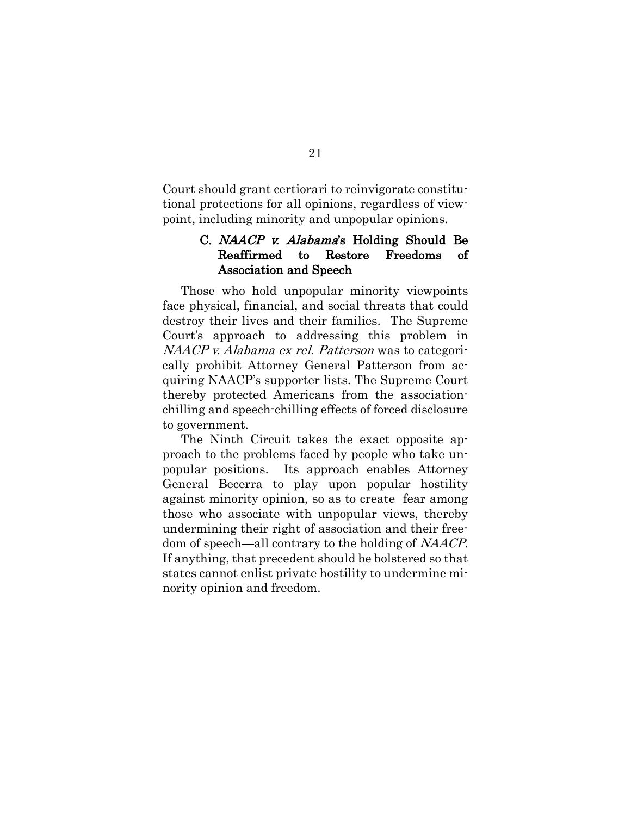Court should grant certiorari to reinvigorate constitutional protections for all opinions, regardless of viewpoint, including minority and unpopular opinions.

### <span id="page-26-0"></span>C. NAACP v. Alabama's Holding Should Be Reaffirmed to Restore Freedoms of Association and Speech

Those who hold unpopular minority viewpoints face physical, financial, and social threats that could destroy their lives and their families. The Supreme Court's approach to addressing this problem in NAACP v. Alabama ex rel. Patterson was to categorically prohibit Attorney General Patterson from acquiring NAACP's supporter lists. The Supreme Court thereby protected Americans from the associationchilling and speech-chilling effects of forced disclosure to government.

The Ninth Circuit takes the exact opposite approach to the problems faced by people who take unpopular positions. Its approach enables Attorney General Becerra to play upon popular hostility against minority opinion, so as to create fear among those who associate with unpopular views, thereby undermining their right of association and their freedom of speech—all contrary to the holding of NAACP. If anything, that precedent should be bolstered so that states cannot enlist private hostility to undermine minority opinion and freedom.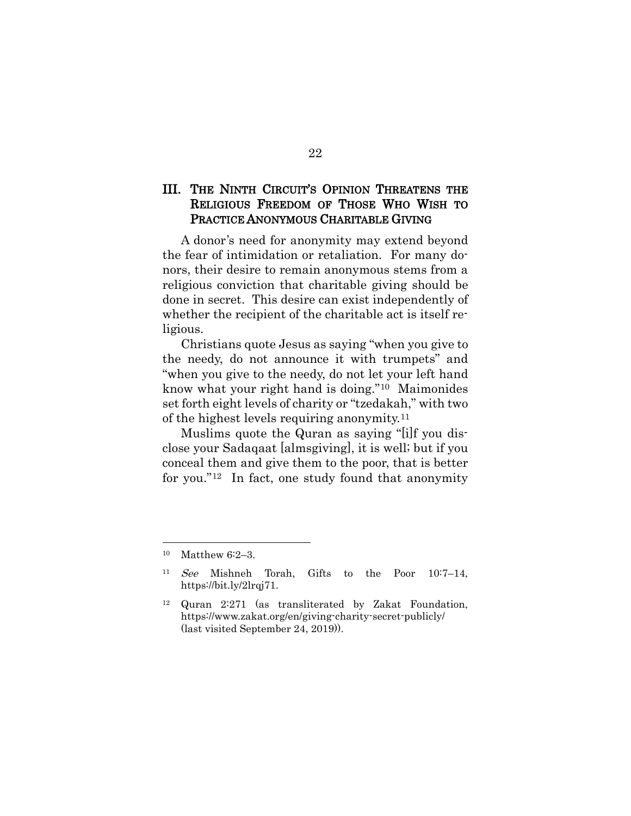### <span id="page-27-0"></span>III. THE NINTH CIRCUIT'S OPINION THREATENS THE RELIGIOUS FREEDOM OF THOSE WHO WISH TO PRACTICE ANONYMOUS CHARITABLE GIVING

A donor's need for anonymity may extend beyond the fear of intimidation or retaliation. For many donors, their desire to remain anonymous stems from a religious conviction that charitable giving should be done in secret. This desire can exist independently of whether the recipient of the charitable act is itself religious.

Christians quote Jesus as saying "when you give to the needy, do not announce it with trumpets" and "when you give to the needy, do not let your left hand know what your right hand is doing."[10](#page-27-1) Maimonides set forth eight levels of charity or "tzedakah," with two of the highest levels requiring anonymity.[11](#page-27-2)

Muslims quote the Quran as saying "[i]f you disclose your Sadaqaat [almsgiving], it is well; but if you conceal them and give them to the poor, that is better for you."[12](#page-27-3) In fact, one study found that anonymity

<span id="page-27-1"></span><sup>10</sup> Matthew 6:2–3.

<span id="page-27-2"></span><sup>11</sup> See Mishneh Torah, Gifts to the Poor 10:7–14, https://bit.ly/2lrqj71.

<span id="page-27-3"></span><sup>12</sup> Quran 2:271 (as transliterated by Zakat Foundation, https://www.zakat.org/en/giving-charity-secret-publicly/ (last visited September 24, 2019)).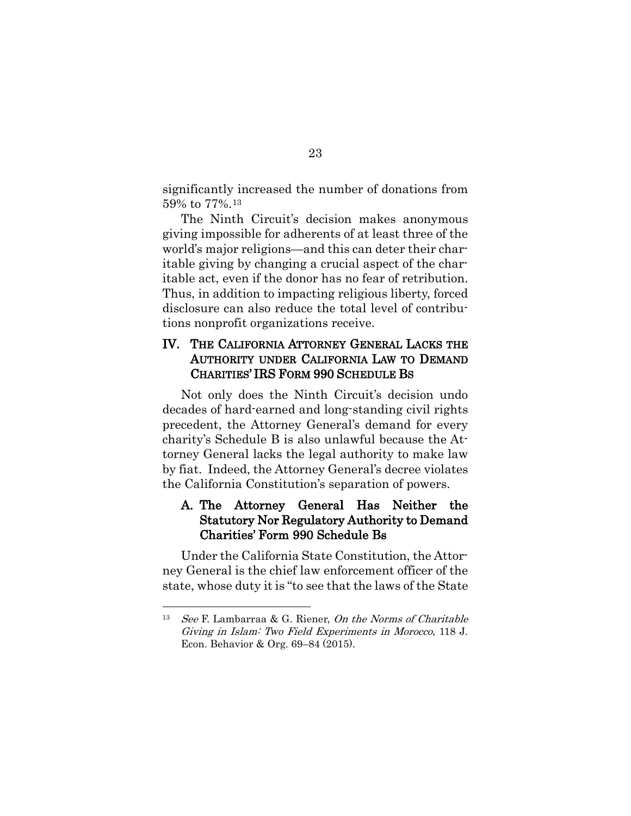significantly increased the number of donations from 59% to 77%.[13](#page-28-2)

The Ninth Circuit's decision makes anonymous giving impossible for adherents of at least three of the world's major religions—and this can deter their charitable giving by changing a crucial aspect of the charitable act, even if the donor has no fear of retribution. Thus, in addition to impacting religious liberty, forced disclosure can also reduce the total level of contributions nonprofit organizations receive.

#### <span id="page-28-0"></span>IV. THE CALIFORNIA ATTORNEY GENERAL LACKS THE AUTHORITY UNDER CALIFORNIA LAW TO DEMAND CHARITIES' IRS FORM 990 SCHEDULE BS

Not only does the Ninth Circuit's decision undo decades of hard-earned and long-standing civil rights precedent, the Attorney General's demand for every charity's Schedule B is also unlawful because the Attorney General lacks the legal authority to make law by fiat. Indeed, the Attorney General's decree violates the California Constitution's separation of powers.

### <span id="page-28-1"></span>A. The Attorney General Has Neither the Statutory Nor Regulatory Authority to Demand Charities' Form 990 Schedule Bs

Under the California State Constitution, the Attorney General is the chief law enforcement officer of the state, whose duty it is "to see that the laws of the State

<span id="page-28-2"></span><sup>&</sup>lt;sup>13</sup> See F. Lambarraa & G. Riener, On the Norms of Charitable Giving in Islam: Two Field Experiments in Morocco, 118 J. Econ. Behavior & Org. 69–84 (2015).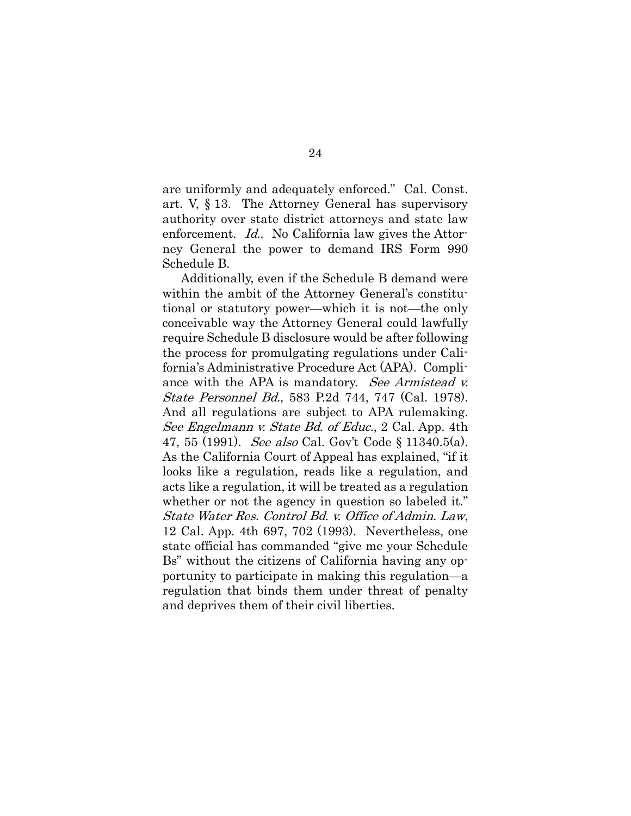are uniformly and adequately enforced." Cal. Const. art. V, § 13. The Attorney General has supervisory authority over state district attorneys and state law enforcement. Id.. No California law gives the Attorney General the power to demand IRS Form 990 Schedule B.

Additionally, even if the Schedule B demand were within the ambit of the Attorney General's constitutional or statutory power—which it is not—the only conceivable way the Attorney General could lawfully require Schedule B disclosure would be after following the process for promulgating regulations under California's Administrative Procedure Act (APA). Compliance with the APA is mandatory. See Armistead v. State Personnel Bd., 583 P.2d 744, 747 (Cal. 1978). And all regulations are subject to APA rulemaking. See Engelmann v. State Bd. of Educ., 2 Cal. App. 4th 47, 55 (1991). See also Cal. Gov't Code § 11340.5(a). As the California Court of Appeal has explained, "if it looks like a regulation, reads like a regulation, and acts like a regulation, it will be treated as a regulation whether or not the agency in question so labeled it." State Water Res. Control Bd. v. Office of Admin. Law, 12 Cal. App. 4th 697, 702 (1993). Nevertheless, one state official has commanded "give me your Schedule Bs" without the citizens of California having any opportunity to participate in making this regulation—a regulation that binds them under threat of penalty and deprives them of their civil liberties.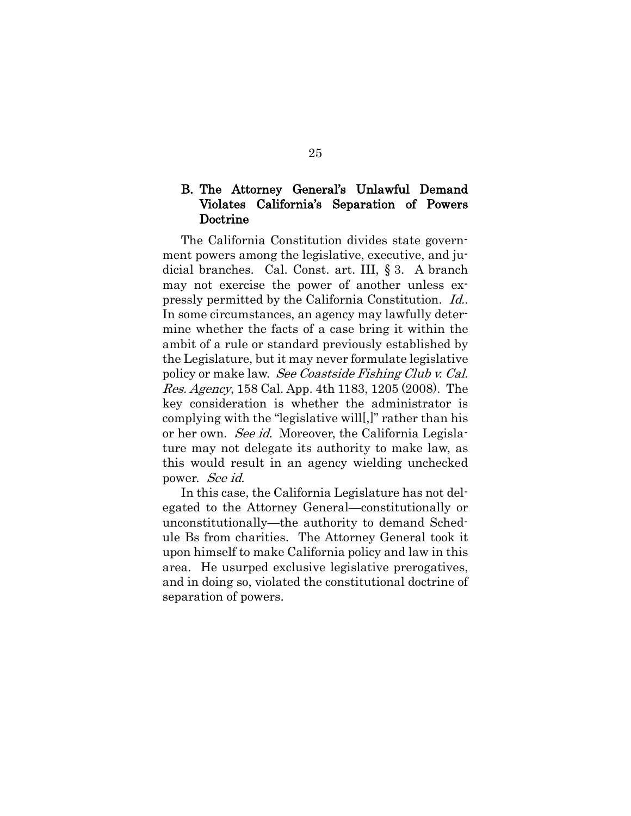#### <span id="page-30-0"></span>B. The Attorney General's Unlawful Demand Violates California's Separation of Powers Doctrine

The California Constitution divides state government powers among the legislative, executive, and judicial branches. Cal. Const. art. III, § 3. A branch may not exercise the power of another unless expressly permitted by the California Constitution. Id.. In some circumstances, an agency may lawfully determine whether the facts of a case bring it within the ambit of a rule or standard previously established by the Legislature, but it may never formulate legislative policy or make law. See Coastside Fishing Club v. Cal. Res. Agency, 158 Cal. App. 4th 1183, 1205 (2008). The key consideration is whether the administrator is complying with the "legislative will[,]" rather than his or her own. See id. Moreover, the California Legislature may not delegate its authority to make law, as this would result in an agency wielding unchecked power. See id.

In this case, the California Legislature has not delegated to the Attorney General—constitutionally or unconstitutionally—the authority to demand Schedule Bs from charities. The Attorney General took it upon himself to make California policy and law in this area. He usurped exclusive legislative prerogatives, and in doing so, violated the constitutional doctrine of separation of powers.